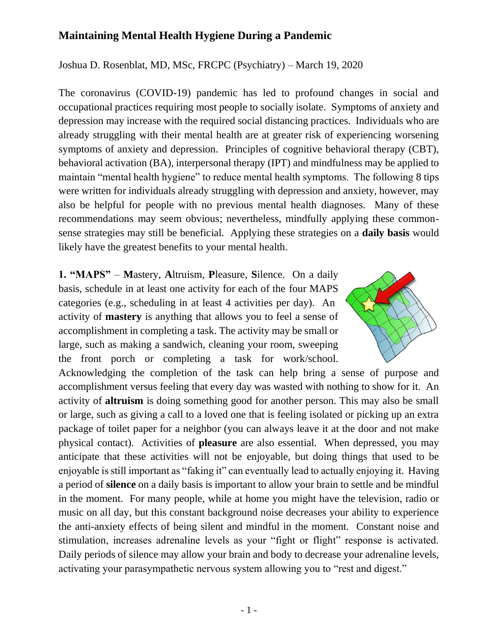Joshua D. Rosenblat, MD, MSc, FRCPC (Psychiatry) – March 19, 2020

The coronavirus (COVID-19) pandemic has led to profound changes in social and occupational practices requiring most people to socially isolate. Symptoms of anxiety and depression may increase with the required social distancing practices. Individuals who are already struggling with their mental health are at greater risk of experiencing worsening symptoms of anxiety and depression. Principles of cognitive behavioral therapy (CBT), behavioral activation (BA), interpersonal therapy (IPT) and mindfulness may be applied to maintain "mental health hygiene" to reduce mental health symptoms. The following 8 tips were written for individuals already struggling with depression and anxiety, however, may also be helpful for people with no previous mental health diagnoses. Many of these recommendations may seem obvious; nevertheless, mindfully applying these commonsense strategies may still be beneficial. Applying these strategies on a **daily basis** would likely have the greatest benefits to your mental health.

**1. "MAPS"** – **M**astery, **A**ltruism, **P**leasure, **S**ilence. On a daily basis, schedule in at least one activity for each of the four MAPS categories (e.g., scheduling in at least 4 activities per day). An activity of **mastery** is anything that allows you to feel a sense of accomplishment in completing a task. The activity may be small or large, such as making a sandwich, cleaning your room, sweeping the front porch or completing a task for work/school.



Acknowledging the completion of the task can help bring a sense of purpose and accomplishment versus feeling that every day was wasted with nothing to show for it. An activity of **altruism** is doing something good for another person. This may also be small or large, such as giving a call to a loved one that is feeling isolated or picking up an extra package of toilet paper for a neighbor (you can always leave it at the door and not make physical contact). Activities of **pleasure** are also essential. When depressed, you may anticipate that these activities will not be enjoyable, but doing things that used to be enjoyable is still important as "faking it" can eventually lead to actually enjoying it. Having a period of **silence** on a daily basis is important to allow your brain to settle and be mindful in the moment. For many people, while at home you might have the television, radio or music on all day, but this constant background noise decreases your ability to experience the anti-anxiety effects of being silent and mindful in the moment. Constant noise and stimulation, increases adrenaline levels as your "fight or flight" response is activated. Daily periods of silence may allow your brain and body to decrease your adrenaline levels, activating your parasympathetic nervous system allowing you to "rest and digest."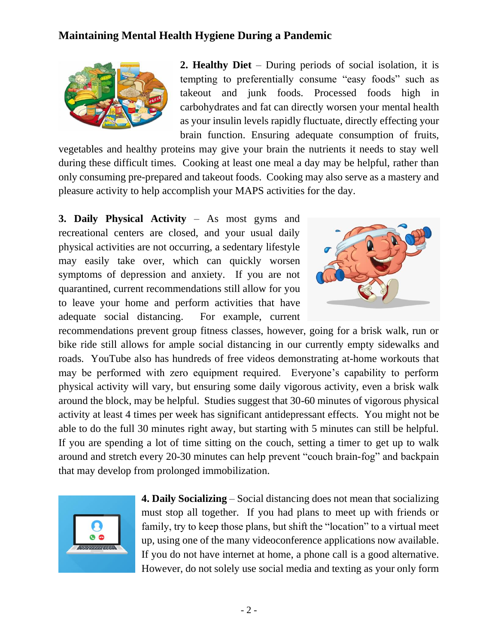

**2. Healthy Diet** – During periods of social isolation, it is tempting to preferentially consume "easy foods" such as takeout and junk foods. Processed foods high in carbohydrates and fat can directly worsen your mental health as your insulin levels rapidly fluctuate, directly effecting your brain function. Ensuring adequate consumption of fruits,

vegetables and healthy proteins may give your brain the nutrients it needs to stay well during these difficult times. Cooking at least one meal a day may be helpful, rather than only consuming pre-prepared and takeout foods. Cooking may also serve as a mastery and pleasure activity to help accomplish your MAPS activities for the day.

**3. Daily Physical Activity** – As most gyms and recreational centers are closed, and your usual daily physical activities are not occurring, a sedentary lifestyle may easily take over, which can quickly worsen symptoms of depression and anxiety. If you are not quarantined, current recommendations still allow for you to leave your home and perform activities that have adequate social distancing. For example, current



recommendations prevent group fitness classes, however, going for a brisk walk, run or bike ride still allows for ample social distancing in our currently empty sidewalks and roads. YouTube also has hundreds of free videos demonstrating at-home workouts that may be performed with zero equipment required. Everyone's capability to perform physical activity will vary, but ensuring some daily vigorous activity, even a brisk walk around the block, may be helpful. Studies suggest that 30-60 minutes of vigorous physical activity at least 4 times per week has significant antidepressant effects. You might not be able to do the full 30 minutes right away, but starting with 5 minutes can still be helpful. If you are spending a lot of time sitting on the couch, setting a timer to get up to walk around and stretch every 20-30 minutes can help prevent "couch brain-fog" and backpain that may develop from prolonged immobilization.



**4. Daily Socializing** – Social distancing does not mean that socializing must stop all together. If you had plans to meet up with friends or family, try to keep those plans, but shift the "location" to a virtual meet up, using one of the many videoconference applications now available. If you do not have internet at home, a phone call is a good alternative. However, do not solely use social media and texting as your only form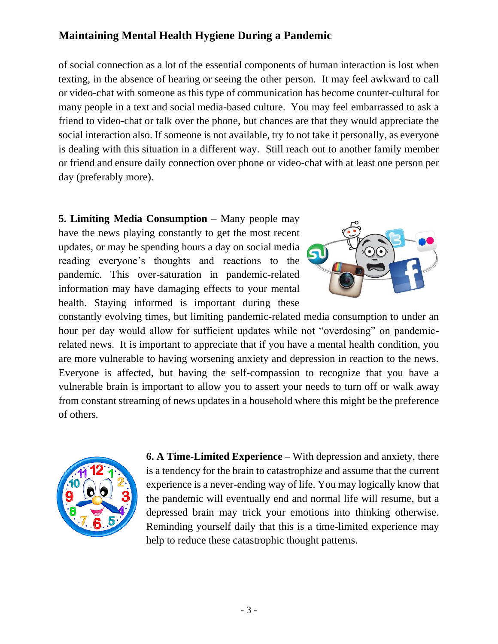of social connection as a lot of the essential components of human interaction is lost when texting, in the absence of hearing or seeing the other person. It may feel awkward to call or video-chat with someone as this type of communication has become counter-cultural for many people in a text and social media-based culture. You may feel embarrassed to ask a friend to video-chat or talk over the phone, but chances are that they would appreciate the social interaction also. If someone is not available, try to not take it personally, as everyone is dealing with this situation in a different way. Still reach out to another family member or friend and ensure daily connection over phone or video-chat with at least one person per day (preferably more).

**5. Limiting Media Consumption** – Many people may have the news playing constantly to get the most recent updates, or may be spending hours a day on social media reading everyone's thoughts and reactions to the pandemic. This over-saturation in pandemic-related information may have damaging effects to your mental health. Staying informed is important during these



constantly evolving times, but limiting pandemic-related media consumption to under an hour per day would allow for sufficient updates while not "overdosing" on pandemicrelated news. It is important to appreciate that if you have a mental health condition, you are more vulnerable to having worsening anxiety and depression in reaction to the news. Everyone is affected, but having the self-compassion to recognize that you have a vulnerable brain is important to allow you to assert your needs to turn off or walk away from constant streaming of news updates in a household where this might be the preference of others.



**6. A Time-Limited Experience** – With depression and anxiety, there is a tendency for the brain to catastrophize and assume that the current experience is a never-ending way of life. You may logically know that the pandemic will eventually end and normal life will resume, but a depressed brain may trick your emotions into thinking otherwise. Reminding yourself daily that this is a time-limited experience may help to reduce these catastrophic thought patterns.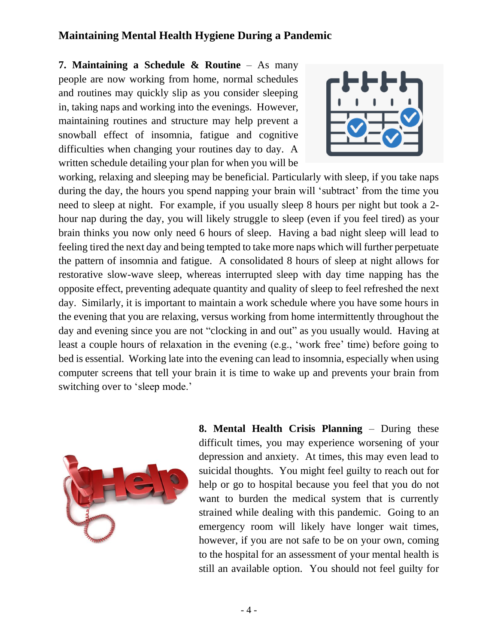**7. Maintaining a Schedule & Routine** – As many people are now working from home, normal schedules and routines may quickly slip as you consider sleeping in, taking naps and working into the evenings. However, maintaining routines and structure may help prevent a snowball effect of insomnia, fatigue and cognitive difficulties when changing your routines day to day. A written schedule detailing your plan for when you will be



working, relaxing and sleeping may be beneficial. Particularly with sleep, if you take naps during the day, the hours you spend napping your brain will 'subtract' from the time you need to sleep at night. For example, if you usually sleep 8 hours per night but took a 2 hour nap during the day, you will likely struggle to sleep (even if you feel tired) as your brain thinks you now only need 6 hours of sleep. Having a bad night sleep will lead to feeling tired the next day and being tempted to take more naps which will further perpetuate the pattern of insomnia and fatigue. A consolidated 8 hours of sleep at night allows for restorative slow-wave sleep, whereas interrupted sleep with day time napping has the opposite effect, preventing adequate quantity and quality of sleep to feel refreshed the next day. Similarly, it is important to maintain a work schedule where you have some hours in the evening that you are relaxing, versus working from home intermittently throughout the day and evening since you are not "clocking in and out" as you usually would. Having at least a couple hours of relaxation in the evening (e.g., 'work free' time) before going to bed is essential. Working late into the evening can lead to insomnia, especially when using computer screens that tell your brain it is time to wake up and prevents your brain from switching over to 'sleep mode.'



**8. Mental Health Crisis Planning** – During these difficult times, you may experience worsening of your depression and anxiety. At times, this may even lead to suicidal thoughts. You might feel guilty to reach out for help or go to hospital because you feel that you do not want to burden the medical system that is currently strained while dealing with this pandemic. Going to an emergency room will likely have longer wait times, however, if you are not safe to be on your own, coming to the hospital for an assessment of your mental health is still an available option. You should not feel guilty for